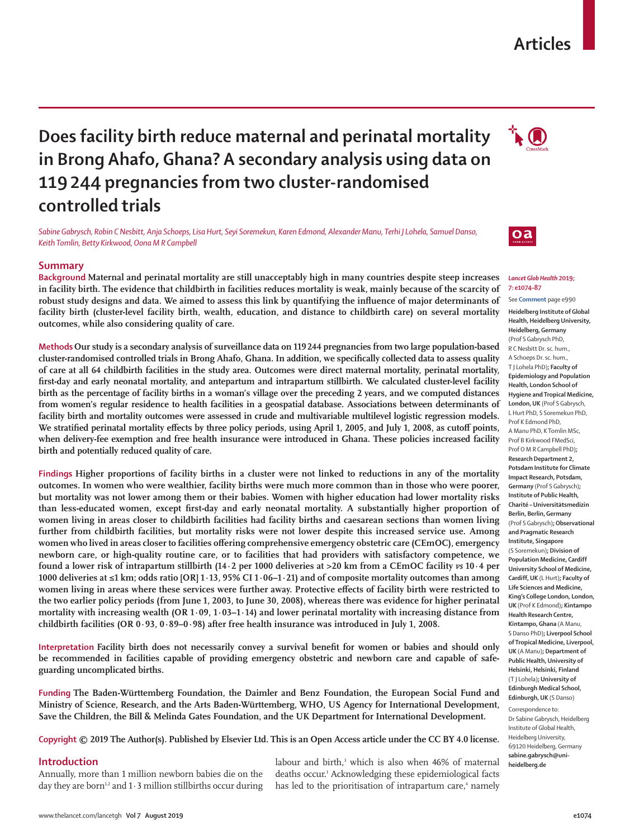## www.thelancet.com/lancetgh **Vol 7 August 2019 e1074**

# **Does facility birth reduce maternal and perinatal mortality in Brong Ahafo, Ghana? A secondary analysis using data on 119 244 pregnancies from two cluster-randomised controlled trials**

*Sabine Gabrysch, Robin C Nesbitt, Anja Schoeps, Lisa Hurt, Seyi Soremekun, Karen Edmond, Alexander Manu, Terhi J Lohela, Samuel Danso, Keith Tomlin, Betty Kirkwood, Oona M R Campbell*

# **Summary**

**Background Maternal and perinatal mortality are still unacceptably high in many countries despite steep increases in facility birth. The evidence that childbirth in facilities reduces mortality is weak, mainly because of the scarcity of robust study designs and data. We aimed to assess this link by quantifying the influence of major determinants of facility birth (cluster-level facility birth, wealth, education, and distance to childbirth care) on several mortality outcomes, while also considering quality of care.**

**Methods Our study is a secondary analysis of surveillance data on 119244 pregnancies from two large population-based cluster-randomised controlled trials in Brong Ahafo, Ghana. In addition, we specifically collected data to assess quality of care at all 64 childbirth facilities in the study area. Outcomes were direct maternal mortality, perinatal mortality, first-day and early neonatal mortality, and antepartum and intrapartum stillbirth. We calculated cluster-level facility birth as the percentage of facility births in a woman's village over the preceding 2 years, and we computed distances from women's regular residence to health facilities in a geospatial database. Associations between determinants of facility birth and mortality outcomes were assessed in crude and multivariable multilevel logistic regression models.**  We stratified perinatal mortality effects by three policy periods, using April 1, 2005, and July 1, 2008, as cutoff points, **when delivery-fee exemption and free health insurance were introduced in Ghana. These policies increased facility birth and potentially reduced quality of care.**

**Findings Higher proportions of facility births in a cluster were not linked to reductions in any of the mortality outcomes. In women who were wealthier, facility births were much more common than in those who were poorer, but mortality was not lower among them or their babies. Women with higher education had lower mortality risks than less-educated women, except first-day and early neonatal mortality. A substantially higher proportion of women living in areas closer to childbirth facilities had facility births and caesarean sections than women living further from childbirth facilities, but mortality risks were not lower despite this increased service use. Among women who lived in areas closer to facilities offering comprehensive emergency obstetric care (CEmOC), emergency newborn care, or high-quality routine care, or to facilities that had providers with satisfactory competence, we found a lower risk of intrapartum stillbirth (14·2 per 1000 deliveries at >20 km from a CEmOC facility** *vs* **10·4 per 1000 deliveries at ≤1 km; odds ratio [OR] 1·13, 95% CI 1·06–1·21) and of composite mortality outcomes than among women living in areas where these services were further away. Protective effects of facility birth were restricted to the two earlier policy periods (from June 1, 2003, to June 30, 2008), whereas there was evidence for higher perinatal mortality with increasing wealth (OR 1·09, 1·03–1·14) and lower perinatal mortality with increasing distance from childbirth facilities (OR 0·93, 0·89–0·98) after free health insurance was introduced in July 1, 2008.**

**Interpretation Facility birth does not necessarily convey a survival benefit for women or babies and should only be recommended in facilities capable of providing emergency obstetric and newborn care and capable of safeguarding uncomplicated births.**

**Funding The Baden-Württemberg Foundation, the Daimler and Benz Foundation, the European Social Fund and Ministry of Science, Research, and the Arts Baden-Württemberg, WHO, US Agency for International Development, Save the Children, the Bill & Melinda Gates Foundation, and the UK Department for International Development.**

**Copyright © 2019 The Author(s). Published by Elsevier Ltd. This is an Open Access article under the CC BY 4.0 license.**

## **Introduction**

Annually, more than 1 million newborn babies die on the day they are born<sup>1,2</sup> and  $1\cdot 3$  million still births occur during labour and birth,<sup>3</sup> which is also when 46% of maternal deaths occur.<sup>1</sup> Acknowledging these epidemiological facts has led to the prioritisation of intrapartum care,<sup>4</sup> namely

#### *Lancet Glob Health* **2019; 7: e1074–87** See **Comment** page e990

**Heidelberg Institute of Global Health, Heidelberg University, Heidelberg, Germany**  (Prof S Gabrysch PhD, R C Nesbitt Dr. sc. hum., A Schoeps Dr. sc. hum., T J Lohela PhD)**; Faculty of Epidemiology and Population Health, London School of Hygiene and Tropical Medicine, London, UK** (Prof S Gabrysch, L Hurt PhD, S Soremekun PhD, Prof K Edmond PhD, A Manu PhD, K Tomlin MSc, Prof B Kirkwood FMedSci, Prof O M R Campbell PhD)**; Research Department 2, Potsdam Institute for Climate Impact Research, Potsdam, Germany** (Prof S Gabrysch)**; Institute of Public Health, Charité – Universitätsmedizin Berlin, Berlin, Germany**  (Prof S Gabrysch)**; Observational and Pragmatic Research Institute, Singapore**  (S Soremekun)**; Division of Population Medicine, Cardiff University School of Medicine, Cardiff, UK** (L Hurt)**; Faculty of Life Sciences and Medicine, King's College London, London, UK** (Prof K Edmond)**; Kintampo Health Research Centre, Kintampo, Ghana** (A Manu, S Danso PhD)**; Liverpool School of Tropical Medicine, Liverpool, UK** (A Manu)**; Department of Public Health, University of Helsinki, Helsinki, Finland**  (T J Lohela)**; University of Edinburgh Medical School, Edinburgh, UK** (S Danso)

Correspondence to: Dr Sabine Gabrysch, Heidelberg Institute of Global Health, Heidelberg University, 69120 Heidelberg, Germany **sabine.gabrysch@uniheidelberg.de**



**TAO** 

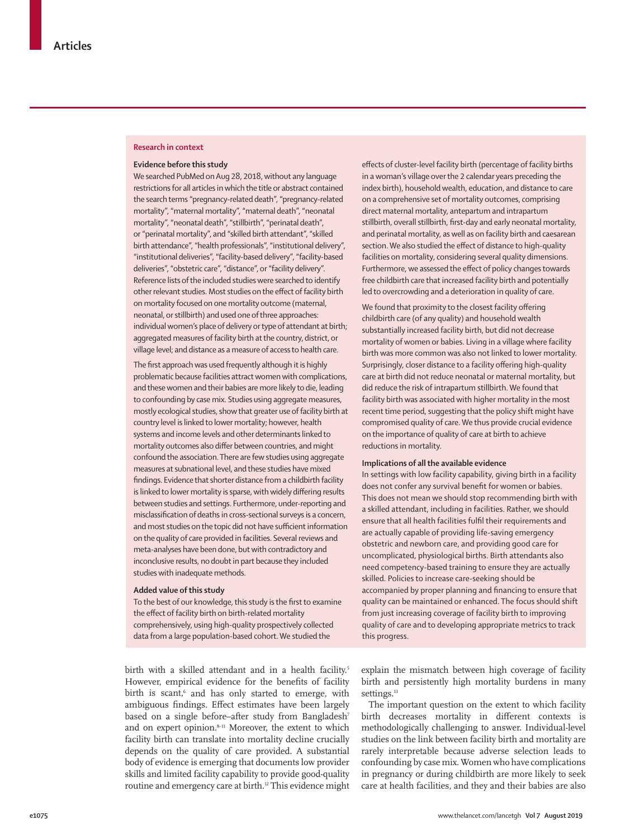## **Research in context**

#### **Evidence before this study**

We searched PubMed on Aug 28, 2018, without any language restrictions for all articles in which the title or abstract contained the search terms "pregnancy-related death", "pregnancy-related mortality", "maternal mortality", "maternal death", "neonatal mortality", "neonatal death", "stillbirth", "perinatal death", or "perinatal mortality", and "skilled birth attendant", "skilled birth attendance", "health professionals", "institutional delivery", "institutional deliveries", "facility-based delivery", "facility-based deliveries", "obstetric care", "distance", or "facility delivery". Reference lists of the included studies were searched to identify other relevant studies. Most studies on the effect of facility birth on mortality focused on one mortality outcome (maternal, neonatal, or stillbirth) and used one of three approaches: individual women's place of delivery or type of attendant at birth; aggregated measures of facility birth at the country, district, or village level; and distance as a measure of access to health care.

The first approach was used frequently although it is highly problematic because facilities attract women with complications, and these women and their babies are more likely to die, leading to confounding by case mix. Studies using aggregate measures, mostly ecological studies, show that greater use of facility birth at country level is linked to lower mortality; however, health systems and income levels and other determinants linked to mortality outcomes also differ between countries, and might confound the association. There are few studies using aggregate measures at subnational level, and these studies have mixed findings. Evidence that shorter distance from a childbirth facility is linked to lower mortality is sparse, with widely differing results between studies and settings. Furthermore, under-reporting and misclassification of deaths in cross-sectional surveys is a concern, and most studies on the topic did not have sufficient information on the quality of care provided in facilities. Several reviews and meta-analyses have been done, but with contradictory and inconclusive results, no doubt in part because they included studies with inadequate methods.

## **Added value of this study**

To the best of our knowledge, this study is the first to examine the effect of facility birth on birth-related mortality comprehensively, using high-quality prospectively collected data from a large population-based cohort. We studied the

effects of cluster-level facility birth (percentage of facility births in a woman's village over the 2 calendar years preceding the index birth), household wealth, education, and distance to care on a comprehensive set of mortality outcomes, comprising direct maternal mortality, antepartum and intrapartum stillbirth, overall stillbirth, first-day and early neonatal mortality, and perinatal mortality, as well as on facility birth and caesarean section. We also studied the effect of distance to high-quality facilities on mortality, considering several quality dimensions. Furthermore, we assessed the effect of policy changes towards free childbirth care that increased facility birth and potentially led to overcrowding and a deterioration in quality of care.

We found that proximity to the closest facility offering childbirth care (of any quality) and household wealth substantially increased facility birth, but did not decrease mortality of women or babies. Living in a village where facility birth was more common was also not linked to lower mortality. Surprisingly, closer distance to a facility offering high-quality care at birth did not reduce neonatal or maternal mortality, but did reduce the risk of intrapartum stillbirth. We found that facility birth was associated with higher mortality in the most recent time period, suggesting that the policy shift might have compromised quality of care. We thus provide crucial evidence on the importance of quality of care at birth to achieve reductions in mortality.

## **Implications of all the available evidence**

In settings with low facility capability, giving birth in a facility does not confer any survival benefit for women or babies. This does not mean we should stop recommending birth with a skilled attendant, including in facilities. Rather, we should ensure that all health facilities fulfil their requirements and are actually capable of providing life-saving emergency obstetric and newborn care, and providing good care for uncomplicated, physiological births. Birth attendants also need competency-based training to ensure they are actually skilled. Policies to increase care-seeking should be accompanied by proper planning and financing to ensure that quality can be maintained or enhanced. The focus should shift from just increasing coverage of facility birth to improving quality of care and to developing appropriate metrics to track this progress.

birth with a skilled attendant and in a health facility.<sup>5</sup> However, empirical evidence for the benefits of facility birth is scant,<sup>6</sup> and has only started to emerge, with ambiguous findings. Effect estimates have been largely based on a single before–after study from Bangladesh<sup>7</sup> and on expert opinion.<sup>8-11</sup> Moreover, the extent to which facility birth can translate into mortality decline crucially depends on the quality of care provided. A substantial body of evidence is emerging that documents low provider skills and limited facility capability to provide good-quality routine and emergency care at birth.<sup>12</sup> This evidence might

explain the mismatch between high coverage of facility birth and persistently high mortality burdens in many settings.<sup>13</sup>

The important question on the extent to which facility birth decreases mortality in different contexts is methodologically challenging to answer. Individual-level studies on the link between facility birth and mortality are rarely interpretable because adverse selection leads to confounding by case mix. Women who have complications in pregnancy or during childbirth are more likely to seek care at health facilities, and they and their babies are also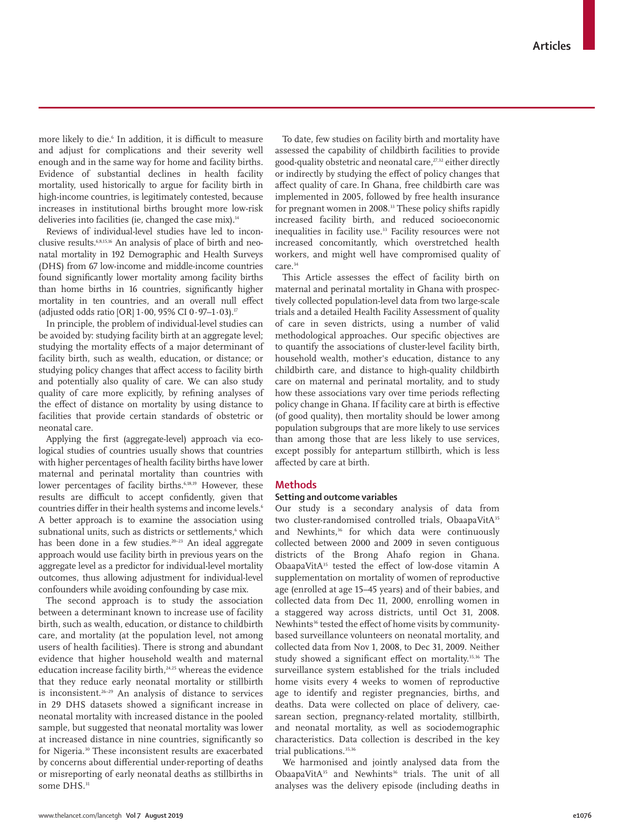more likely to die.6 In addition, it is difficult to measure and adjust for complications and their severity well enough and in the same way for home and facility births. Evidence of substantial declines in health facility mortality, used historically to argue for facility birth in high-income countries, is legitimately contested, because increases in institutional births brought more low-risk deliveries into facilities (ie, changed the case mix).<sup>14</sup>

Reviews of individual-level studies have led to inconclusive results.6,8,15,16 An analysis of place of birth and neonatal mortality in 192 Demographic and Health Surveys (DHS) from 67 low-income and middle-income countries found significantly lower mortality among facility births than home births in 16 countries, significantly higher mortality in ten countries, and an overall null effect (adjusted odds ratio [OR]  $1.00$ , 95% CI  $0.97-1.03$ ).<sup>17</sup>

In principle, the problem of individual-level studies can be avoided by: studying facility birth at an aggregate level; studying the mortality effects of a major determinant of facility birth, such as wealth, education, or distance; or studying policy changes that affect access to facility birth and potentially also quality of care. We can also study quality of care more explicitly, by refining analyses of the effect of distance on mortality by using distance to facilities that provide certain standards of obstetric or neonatal care.

Applying the first (aggregate-level) approach via ecological studies of countries usually shows that countries with higher percentages of health facility births have lower maternal and perinatal mortality than countries with lower percentages of facility births.<sup>6,18,19</sup> However, these results are difficult to accept confidently, given that countries differ in their health systems and income levels.<sup>6</sup> A better approach is to examine the association using subnational units, such as districts or settlements,<sup>6</sup> which has been done in a few studies.<sup>20-23</sup> An ideal aggregate approach would use facility birth in previous years on the aggregate level as a predictor for individual-level mortality outcomes, thus allowing adjustment for individual-level confounders while avoiding confounding by case mix.

The second approach is to study the association between a determinant known to increase use of facility birth, such as wealth, education, or distance to childbirth care, and mortality (at the population level, not among users of health facilities). There is strong and abundant evidence that higher household wealth and maternal education increase facility birth,<sup>24,25</sup> whereas the evidence that they reduce early neonatal mortality or stillbirth is inconsistent.26–29 An analysis of distance to services in 29 DHS datasets showed a significant increase in neonatal mortality with increased distance in the pooled sample, but suggested that neonatal mortality was lower at increased distance in nine countries, significantly so for Nigeria.30 These inconsistent results are exacerbated by concerns about differential under-reporting of deaths or misreporting of early neonatal deaths as stillbirths in some DHS.<sup>31</sup>

To date, few studies on facility birth and mortality have assessed the capability of childbirth facilities to provide good-quality obstetric and neonatal care,<sup>27,32</sup> either directly or indirectly by studying the effect of policy changes that affect quality of care.In Ghana, free childbirth care was implemented in 2005, followed by free health insurance for pregnant women in 2008.33 These policy shifts rapidly increased facility birth, and reduced socioeconomic inequalities in facility use.<sup>33</sup> Facility resources were not increased concomitantly, which overstretched health workers, and might well have compromised quality of care.34

This Article assesses the effect of facility birth on maternal and perinatal mortality in Ghana with prospectively collected population-level data from two large-scale trials and a detailed Health Facility Assessment of quality of care in seven districts, using a number of valid methodological approaches. Our specific objectives are to quantify the associations of cluster-level facility birth, household wealth, mother's education, distance to any childbirth care, and distance to high-quality childbirth care on maternal and perinatal mortality, and to study how these associations vary over time periods reflecting policy change in Ghana. If facility care at birth is effective (of good quality), then mortality should be lower among population subgroups that are more likely to use services than among those that are less likely to use services, except possibly for antepartum stillbirth, which is less affected by care at birth.

## **Methods**

## **Setting and outcome variables**

Our study is a secondary analysis of data from two cluster-randomised controlled trials, ObaapaVitA<sup>35</sup> and Newhints,<sup>36</sup> for which data were continuously collected between 2000 and 2009 in seven contiguous districts of the Brong Ahafo region in Ghana. ObaapaVitA35 tested the effect of low-dose vitamin A supplementation on mortality of women of reproductive age (enrolled at age 15–45 years) and of their babies, and collected data from Dec 11, 2000, enrolling women in a staggered way across districts, until Oct 31, 2008. Newhints<sup>36</sup> tested the effect of home visits by communitybased surveillance volunteers on neonatal mortality, and collected data from Nov 1, 2008, to Dec 31, 2009. Neither study showed a significant effect on mortality.35,36 The surveillance system established for the trials included home visits every 4 weeks to women of reproductive age to identify and register pregnancies, births, and deaths. Data were collected on place of delivery, caesarean section, pregnancy-related mortality, stillbirth, and neonatal mortality, as well as sociodemographic characteristics. Data collection is described in the key trial publications.<sup>35,36</sup>

We harmonised and jointly analysed data from the ObaapaVitA<sup>35</sup> and Newhints<sup>36</sup> trials. The unit of all analyses was the delivery episode (including deaths in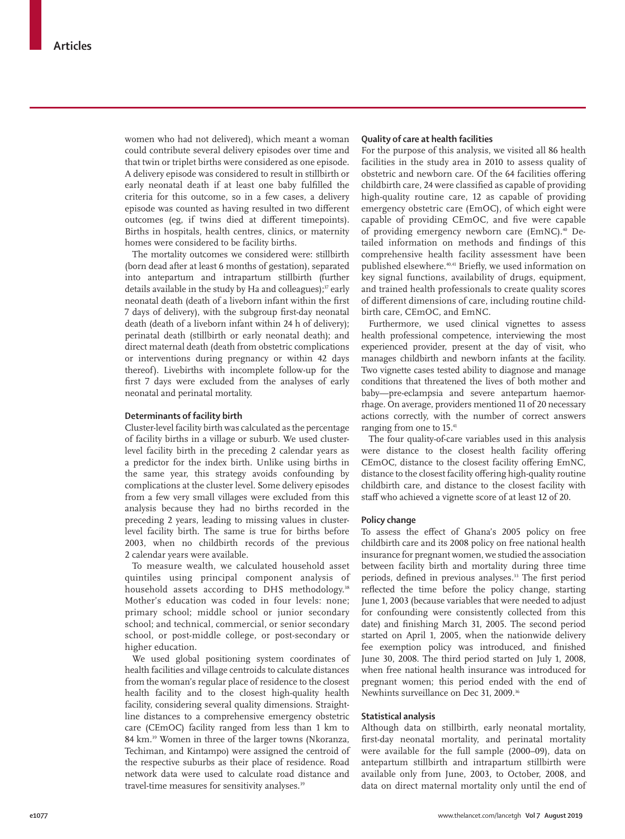women who had not delivered), which meant a woman could contribute several delivery episodes over time and that twin or triplet births were considered as one episode. A delivery episode was considered to result in stillbirth or early neonatal death if at least one baby fulfilled the criteria for this outcome, so in a few cases, a delivery episode was counted as having resulted in two different outcomes (eg, if twins died at different timepoints). Births in hospitals, health centres, clinics, or maternity homes were considered to be facility births.

The mortality outcomes we considered were: stillbirth (born dead after at least 6 months of gestation), separated into antepartum and intrapartum stillbirth (further details available in the study by Ha and colleagues);<sup>37</sup> early neonatal death (death of a liveborn infant within the first 7 days of delivery), with the subgroup first-day neonatal death (death of a liveborn infant within 24 h of delivery); perinatal death (stillbirth or early neonatal death); and direct maternal death (death from obstetric complications or interventions during pregnancy or within 42 days thereof). Livebirths with incomplete follow-up for the first 7 days were excluded from the analyses of early neonatal and perinatal mortality.

## **Determinants of facility birth**

Cluster-level facility birth was calculated as the percentage of facility births in a village or suburb. We used clusterlevel facility birth in the preceding 2 calendar years as a predictor for the index birth. Unlike using births in the same year, this strategy avoids confounding by complications at the cluster level. Some delivery episodes from a few very small villages were excluded from this analysis because they had no births recorded in the preceding 2 years, leading to missing values in clusterlevel facility birth. The same is true for births before 2003, when no childbirth records of the previous 2 calendar years were available.

To measure wealth, we calculated household asset quintiles using principal component analysis of household assets according to DHS methodology.<sup>38</sup> Mother's education was coded in four levels: none; primary school; middle school or junior secondary school; and technical, commercial, or senior secondary school, or post-middle college, or post-secondary or higher education.

We used global positioning system coordinates of health facilities and village centroids to calculate distances from the woman's regular place of residence to the closest health facility and to the closest high-quality health facility, considering several quality dimensions. Straightline distances to a comprehensive emergency obstetric care (CEmOC) facility ranged from less than 1 km to 84 km.<sup>39</sup> Women in three of the larger towns (Nkoranza, Techiman, and Kintampo) were assigned the centroid of the respective suburbs as their place of residence. Road network data were used to calculate road distance and travel-time measures for sensitivity analyses.<sup>39</sup>

#### **Quality of care at health facilities**

For the purpose of this analysis, we visited all 86 health facilities in the study area in 2010 to assess quality of obstetric and newborn care. Of the 64 facilities offering childbirth care, 24 were classified as capable of providing high-quality routine care, 12 as capable of providing emergency obstetric care (EmOC), of which eight were capable of providing CEmOC, and five were capable of providing emergency newborn care (EmNC).<sup>40</sup> Detailed information on methods and findings of this comprehensive health facility assessment have been published elsewhere.40,41 Briefly, we used information on key signal functions, availability of drugs, equipment, and trained health professionals to create quality scores of different dimensions of care, including routine childbirth care, CEmOC, and EmNC.

Furthermore, we used clinical vignettes to assess health professional competence, interviewing the most experienced provider, present at the day of visit, who manages childbirth and newborn infants at the facility. Two vignette cases tested ability to diagnose and manage conditions that threatened the lives of both mother and baby—pre-eclampsia and severe antepartum haemorrhage. On average, providers mentioned 11 of 20 necessary actions correctly, with the number of correct answers ranging from one to 15.<sup>41</sup>

The four quality-of-care variables used in this analysis were distance to the closest health facility offering CEmOC, distance to the closest facility offering EmNC, distance to the closest facility offering high-quality routine childbirth care, and distance to the closest facility with staff who achieved a vignette score of at least 12 of 20.

## **Policy change**

To assess the effect of Ghana's 2005 policy on free childbirth care and its 2008 policy on free national health insurance for pregnant women, we studied the association between facility birth and mortality during three time periods, defined in previous analyses.<sup>33</sup> The first period reflected the time before the policy change, starting June 1, 2003 (because variables that were needed to adjust for confounding were consistently collected from this date) and finishing March 31, 2005. The second period started on April 1, 2005, when the nationwide delivery fee exemption policy was introduced, and finished June 30, 2008. The third period started on July 1, 2008, when free national health insurance was introduced for pregnant women; this period ended with the end of Newhints surveillance on Dec 31, 2009.<sup>36</sup>

## **Statistical analysis**

Although data on stillbirth, early neonatal mortality, first-day neonatal mortality, and perinatal mortality were available for the full sample (2000–09), data on antepartum stillbirth and intrapartum stillbirth were available only from June, 2003, to October, 2008, and data on direct maternal mortality only until the end of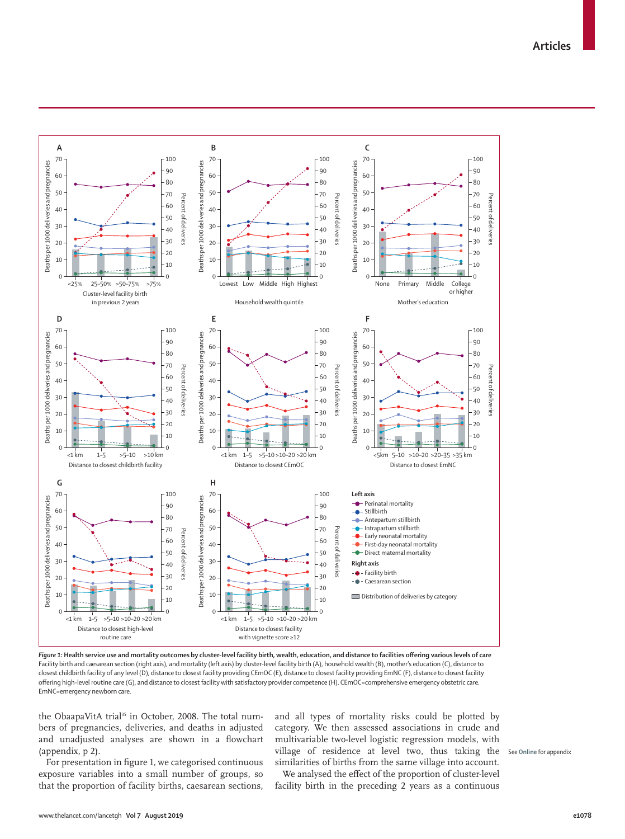

*Figure 1:* **Health service use and mortality outcomes by cluster-level facility birth, wealth, education, and distance to facilities offering various levels of care** Facility birth and caesarean section (right axis), and mortality (left axis) by cluster-level facility birth (A), household wealth (B), mother's education (C), distance to closest childbirth facility of any level (D), distance to closest facility providing CEmOC (E), distance to closest facility providing EmNC (F), distance to closest facility offering high-level routine care (G), and distance to closest facility with satisfactory provider competence (H). CEmOC=comprehensive emergency obstetric care. EmNC=emergency newborn care.

the ObaapaVitA trial<sup>35</sup> in October, 2008. The total numbers of pregnancies, deliveries, and deaths in adjusted and unadjusted analyses are shown in a flowchart (appendix, p 2).

For presentation in figure 1, we categorised continuous exposure variables into a small number of groups, so that the proportion of facility births, caesarean sections,

and all types of mortality risks could be plotted by category. We then assessed associations in crude and multivariable two-level logistic regression models, with village of residence at level two, thus taking the similarities of births from the same village into account.

We analysed the effect of the proportion of cluster-level facility birth in the preceding 2 years as a continuous See **Online** for appendix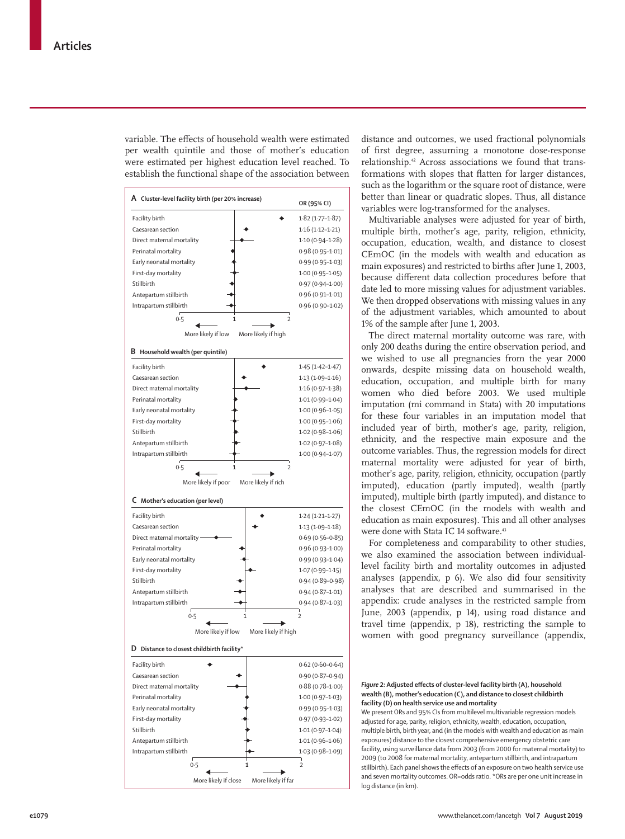variable. The effects of household wealth were estimated per wealth quintile and those of mother's education were estimated per highest education level reached. To establish the functional shape of the association between



distance and outcomes, we used fractional polynomials of first degree, assuming a monotone dose-response relationship.42 Across associations we found that transformations with slopes that flatten for larger distances, such as the logarithm or the square root of distance, were better than linear or quadratic slopes. Thus, all distance variables were log-transformed for the analyses.

Multivariable analyses were adjusted for year of birth, multiple birth, mother's age, parity, religion, ethnicity, occupation, education, wealth, and distance to closest CEmOC (in the models with wealth and education as main exposures) and restricted to births after June 1, 2003, because different data collection procedures before that date led to more missing values for adjustment variables. We then dropped observations with missing values in any of the adjustment variables, which amounted to about 1% of the sample after June 1, 2003.

The direct maternal mortality outcome was rare, with only 200 deaths during the entire observation period, and we wished to use all pregnancies from the year 2000 onwards, despite missing data on household wealth, education, occupation, and multiple birth for many women who died before 2003. We used multiple imputation (mi command in Stata) with 20 imputations for these four variables in an imputation model that included year of birth, mother's age, parity, religion, ethnicity, and the respective main exposure and the outcome variables. Thus, the regression models for direct maternal mortality were adjusted for year of birth, mother's age, parity, religion, ethnicity, occupation (partly imputed), education (partly imputed), wealth (partly imputed), multiple birth (partly imputed), and distance to the closest CEmOC (in the models with wealth and education as main exposures). This and all other analyses were done with Stata IC 14 software.<sup>43</sup>

For completeness and comparability to other studies, we also examined the association between individuallevel facility birth and mortality outcomes in adjusted analyses (appendix, p 6). We also did four sensitivity analyses that are described and summarised in the appendix: crude analyses in the restricted sample from June, 2003 (appendix, p 14), using road distance and travel time (appendix, p 18), restricting the sample to women with good pregnancy surveillance (appendix,

*Figure 2:* **Adjusted effects of cluster-level facility birth (A), household wealth (B), mother's education (C), and distance to closest childbirth facility (D) on health service use and mortality**

We present ORs and 95% CIs from multilevel multivariable regression models adjusted for age, parity, religion, ethnicity, wealth, education, occupation, multiple birth, birth year, and (in the models with wealth and education as main exposures) distance to the closest comprehensive emergency obstetric care facility, using surveillance data from 2003 (from 2000 for maternal mortality) to 2009 (to 2008 for maternal mortality, antepartum stillbirth, and intrapartum stillbirth). Each panel shows the effects of an exposure on two health service use and seven mortality outcomes. OR=odds ratio. \*ORs are per one unit increase in log distance (in km).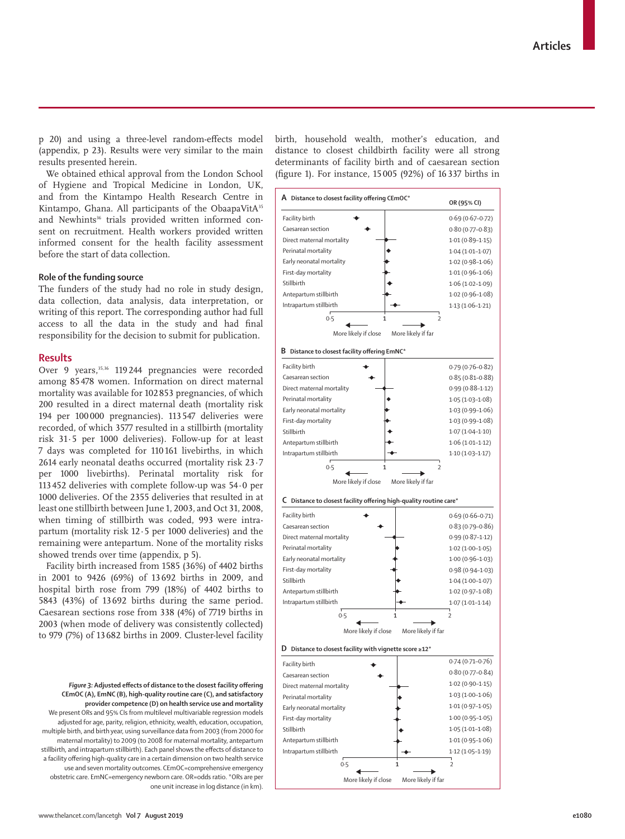p 20) and using a three-level random-effects model (appendix, p 23). Results were very similar to the main results presented herein.

We obtained ethical approval from the London School of Hygiene and Tropical Medicine in London, UK, and from the Kintampo Health Research Centre in Kintampo, Ghana. All participants of the ObaapaVitA<sup>35</sup> and Newhints<sup>36</sup> trials provided written informed consent on recruitment. Health workers provided written informed consent for the health facility assessment before the start of data collection.

## **Role of the funding source**

The funders of the study had no role in study design, data collection, data analysis, data interpretation, or writing of this report. The corresponding author had full access to all the data in the study and had final responsibility for the decision to submit for publication.

## **Results**

Over 9 years,<sup>35,36</sup> 119244 pregnancies were recorded among 85 478 women. Information on direct maternal mortality was available for 102 853 pregnancies, of which 200 resulted in a direct maternal death (mortality risk 194 per 100 000 pregnancies). 113 547 deliveries were recorded, of which 3577 resulted in a stillbirth (mortality risk 31·5 per 1000 deliveries). Follow-up for at least 7 days was completed for 110 161 livebirths, in which 2614 early neonatal deaths occurred (mortality risk 23·7 per 1000 livebirths). Perinatal mortality risk for 113 452 deliveries with complete follow-up was 54·0 per 1000 deliveries. Of the 2355 deliveries that resulted in at least one stillbirth between June 1, 2003, and Oct 31, 2008, when timing of stillbirth was coded, 993 were intrapartum (mortality risk 12·5 per 1000 deliveries) and the remaining were antepartum. None of the mortality risks showed trends over time (appendix, p 5).

Facility birth increased from 1585 (36%) of 4402 births in 2001 to 9426 (69%) of 13 692 births in 2009, and hospital birth rose from 799 (18%) of 4402 births to 5843 (43%) of 13 692 births during the same period. Caesarean sections rose from 338 (4%) of 7719 births in 2003 (when mode of delivery was consistently collected) to 979 (7%) of 13 682 births in 2009. Cluster-level facility

*Figure 3:* **Adjusted effects of distance to the closest facility offering CEmOC (A), EmNC (B), high-quality routine care (C), and satisfactory provider competence (D) on health service use and mortality** We present ORs and 95% CIs from multilevel multivariable regression models adjusted for age, parity, religion, ethnicity, wealth, education, occupation, multiple birth, and birth year, using surveillance data from 2003 (from 2000 for maternal mortality) to 2009 (to 2008 for maternal mortality, antepartum stillbirth, and intrapartum stillbirth). Each panel shows the effects of distance to a facility offering high-quality care in a certain dimension on two health service use and seven mortality outcomes. CEmOC=comprehensive emergency obstetric care. EmNC=emergency newborn care. OR=odds ratio. \*ORs are per one unit increase in log distance (in km). birth, household wealth, mother's education, and distance to closest childbirth facility were all strong determinants of facility birth and of caesarean section (figure 1). For instance, 15 005 (92%) of 16 337 births in

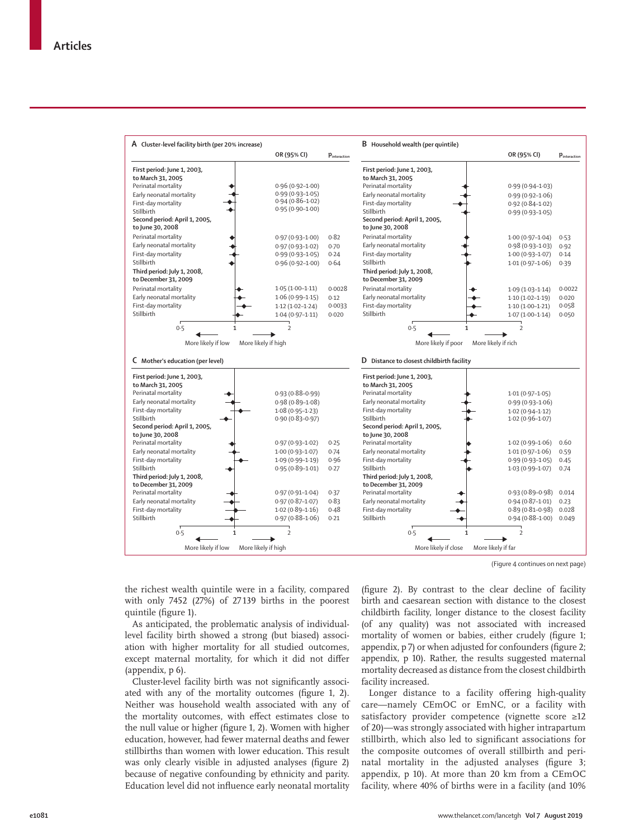

(Figure 4 continues on next page)

the richest wealth quintile were in a facility, compared with only 7452 (27%) of 27 139 births in the poorest quintile (figure 1).

As anticipated, the problematic analysis of individuallevel facility birth showed a strong (but biased) association with higher mortality for all studied outcomes, except maternal mortality, for which it did not differ (appendix, p 6).

Cluster-level facility birth was not significantly associated with any of the mortality outcomes (figure 1, 2). Neither was household wealth associated with any of the mortality outcomes, with effect estimates close to the null value or higher (figure 1, 2). Women with higher education, however, had fewer maternal deaths and fewer stillbirths than women with lower education. This result was only clearly visible in adjusted analyses (figure 2) because of negative confounding by ethnicity and parity. Education level did not influence early neonatal mortality

(figure 2). By contrast to the clear decline of facility birth and caesarean section with distance to the closest childbirth facility, longer distance to the closest facility (of any quality) was not associated with increased mortality of women or babies, either crudely (figure 1; appendix, p 7) or when adjusted for confounders (figure 2; appendix, p 10). Rather, the results suggested maternal mortality decreased as distance from the closest childbirth facility increased.

Longer distance to a facility offering high-quality care—namely CEmOC or EmNC, or a facility with satisfactory provider competence (vignette score ≥12 of 20)—was strongly associated with higher intrapartum stillbirth, which also led to significant associations for the composite outcomes of overall stillbirth and perinatal mortality in the adjusted analyses (figure 3; appendix, p 10). At more than 20 km from a CEmOC facility, where 40% of births were in a facility (and 10%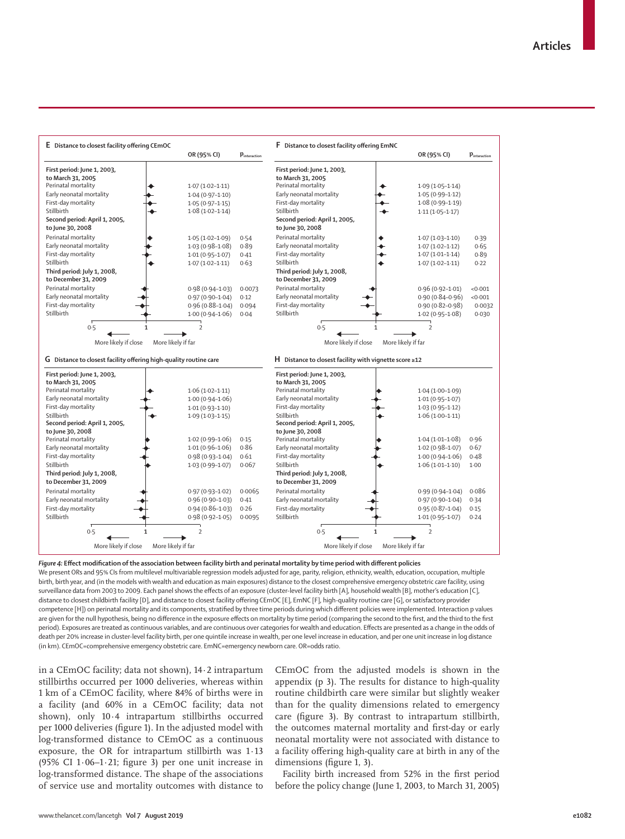

*Figure 4:* **Effect modification of the association between facility birth and perinatal mortality by time period with different policies** We present ORs and 95% CIs from multilevel multivariable regression models adjusted for age, parity, religion, ethnicity, wealth, education, occupation, multiple birth, birth year, and (in the models with wealth and education as main exposures) distance to the closest comprehensive emergency obstetric care facility, using surveillance data from 2003 to 2009. Each panel shows the effects of an exposure (cluster-level facility birth [A], household wealth [B], mother's education [C], distance to closest childbirth facility [D], and distance to closest facility offering CEmOC [E], EmNC [F], high-quality routine care [G], or satisfactory provider competence [H]) on perinatal mortality and its components, stratified by three time periods during which different policies were implemented. Interaction p values are given for the null hypothesis, being no difference in the exposure effects on mortality by time period (comparing the second to the first, and the third to the first period). Exposures are treated as continuous variables, and are continuous over categories for wealth and education. Effects are presented as a change in the odds of death per 20% increase in cluster-level facility birth, per one quintile increase in wealth, per one level increase in education, and per one unit increase in log distance (in km). CEmOC=comprehensive emergency obstetric care. EmNC=emergency newborn care. OR=odds ratio.

in a CEmOC facility; data not shown), 14·2 intrapartum stillbirths occurred per 1000 deliveries, whereas within 1 km of a CEmOC facility, where 84% of births were in a facility (and 60% in a CEmOC facility; data not shown), only 10·4 intrapartum stillbirths occurred per 1000 deliveries (figure 1). In the adjusted model with log-transformed distance to CEmOC as a continuous exposure, the OR for intrapartum stillbirth was 1·13 (95% CI  $1.06-1.21$ ; figure 3) per one unit increase in log-transformed distance. The shape of the associations of service use and mortality outcomes with distance to CEmOC from the adjusted models is shown in the appendix (p 3). The results for distance to high-quality routine childbirth care were similar but slightly weaker than for the quality dimensions related to emergency care (figure 3). By contrast to intrapartum stillbirth, the outcomes maternal mortality and first-day or early neonatal mortality were not associated with distance to a facility offering high-quality care at birth in any of the dimensions (figure 1, 3).

Facility birth increased from 52% in the first period before the policy change (June 1, 2003, to March 31, 2005)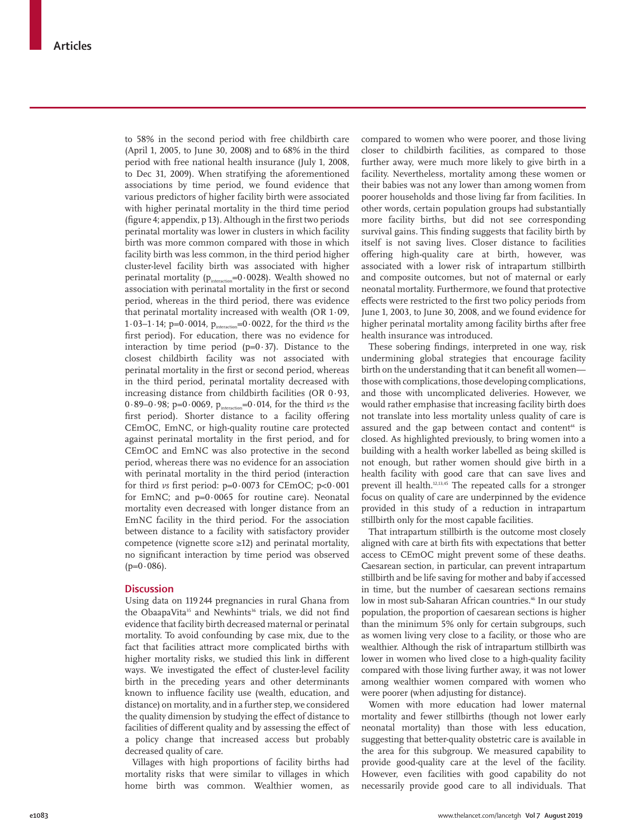to 58% in the second period with free childbirth care (April 1, 2005, to June 30, 2008) and to 68% in the third period with free national health insurance (July 1, 2008, to Dec 31, 2009). When stratifying the aforementioned associations by time period, we found evidence that various predictors of higher facility birth were associated with higher perinatal mortality in the third time period (figure 4; appendix, p 13). Although in the first two periods perinatal mortality was lower in clusters in which facility birth was more common compared with those in which facility birth was less common, in the third period higher cluster-level facility birth was associated with higher perinatal mortality ( $p_{interaction} = 0.0028$ ). Wealth showed no association with perinatal mortality in the first or second period, whereas in the third period, there was evidence that perinatal mortality increased with wealth (OR 1·09, 1·03–1·14; p=0·0014, pinteraction=0·0022, for the third *vs* the first period). For education, there was no evidence for interaction by time period  $(p=0.37)$ . Distance to the closest childbirth facility was not associated with perinatal mortality in the first or second period, whereas in the third period, perinatal mortality decreased with increasing distance from childbirth facilities (OR 0·93, 0·89–0·98; p=0·0069, pinteraction=0·014, for the third *vs* the first period). Shorter distance to a facility offering CEmOC, EmNC, or high-quality routine care protected against perinatal mortality in the first period, and for CEmOC and EmNC was also protective in the second period, whereas there was no evidence for an association with perinatal mortality in the third period (interaction for third *vs* first period: p=0·0073 for CEmOC; p<0·001 for EmNC; and  $p=0.0065$  for routine care). Neonatal mortality even decreased with longer distance from an EmNC facility in the third period. For the association between distance to a facility with satisfactory provider competence (vignette score ≥12) and perinatal mortality, no significant interaction by time period was observed  $(p=0.086)$ .

#### **Discussion**

Using data on 119244 pregnancies in rural Ghana from the ObaapaVita<sup>35</sup> and Newhints<sup>36</sup> trials, we did not find evidence that facility birth decreased maternal or perinatal mortality. To avoid confounding by case mix, due to the fact that facilities attract more complicated births with higher mortality risks, we studied this link in different ways. We investigated the effect of cluster-level facility birth in the preceding years and other determinants known to influence facility use (wealth, education, and distance) on mortality, and in a further step, we considered the quality dimension by studying the effect of distance to facilities of different quality and by assessing the effect of a policy change that increased access but probably decreased quality of care.

Villages with high proportions of facility births had mortality risks that were similar to villages in which home birth was common. Wealthier women, as compared to women who were poorer, and those living closer to childbirth facilities, as compared to those further away, were much more likely to give birth in a facility. Nevertheless, mortality among these women or their babies was not any lower than among women from poorer households and those living far from facilities. In other words, certain population groups had substantially more facility births, but did not see corresponding survival gains. This finding suggests that facility birth by itself is not saving lives. Closer distance to facilities offering high-quality care at birth, however, was associated with a lower risk of intrapartum stillbirth and composite outcomes, but not of maternal or early neonatal mortality. Furthermore, we found that protective effects were restricted to the first two policy periods from June 1, 2003, to June 30, 2008, and we found evidence for higher perinatal mortality among facility births after free health insurance was introduced.

These sobering findings, interpreted in one way, risk undermining global strategies that encourage facility birth on the understanding that it can benefit all women those with complications, those developing complications, and those with uncomplicated deliveries. However, we would rather emphasise that increasing facility birth does not translate into less mortality unless quality of care is assured and the gap between contact and content<sup>44</sup> is closed. As highlighted previously, to bring women into a building with a health worker labelled as being skilled is not enough, but rather women should give birth in a health facility with good care that can save lives and prevent ill health.12,13,45 The repeated calls for a stronger focus on quality of care are underpinned by the evidence provided in this study of a reduction in intrapartum stillbirth only for the most capable facilities.

That intrapartum stillbirth is the outcome most closely aligned with care at birth fits with expectations that better access to CEmOC might prevent some of these deaths. Caesarean section, in particular, can prevent intrapartum stillbirth and be life saving for mother and baby if accessed in time, but the number of caesarean sections remains low in most sub-Saharan African countries.<sup>46</sup> In our study population, the proportion of caesarean sections is higher than the minimum 5% only for certain subgroups, such as women living very close to a facility, or those who are wealthier. Although the risk of intrapartum stillbirth was lower in women who lived close to a high-quality facility compared with those living further away, it was not lower among wealthier women compared with women who were poorer (when adjusting for distance).

Women with more education had lower maternal mortality and fewer stillbirths (though not lower early neonatal mortality) than those with less education, suggesting that better-quality obstetric care is available in the area for this subgroup. We measured capability to provide good-quality care at the level of the facility. However, even facilities with good capability do not necessarily provide good care to all individuals. That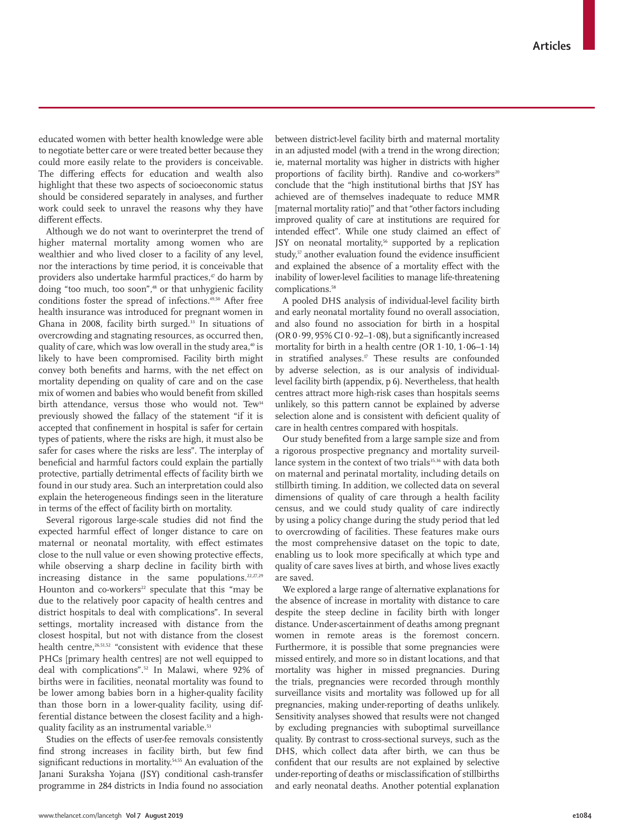educated women with better health knowledge were able to negotiate better care or were treated better because they could more easily relate to the providers is conceivable. The differing effects for education and wealth also highlight that these two aspects of socioeconomic status should be considered separately in analyses, and further work could seek to unravel the reasons why they have different effects.

Although we do not want to overinterpret the trend of higher maternal mortality among women who are wealthier and who lived closer to a facility of any level, nor the interactions by time period, it is conceivable that providers also undertake harmful practices,<sup>47</sup> do harm by doing "too much, too soon",<sup>48</sup> or that unhygienic facility conditions foster the spread of infections.49,50 After free health insurance was introduced for pregnant women in Ghana in 2008, facility birth surged.<sup>33</sup> In situations of overcrowding and stagnating resources, as occurred then, quality of care, which was low overall in the study area,<sup>40</sup> is likely to have been compromised. Facility birth might convey both benefits and harms, with the net effect on mortality depending on quality of care and on the case mix of women and babies who would benefit from skilled birth attendance, versus those who would not. Tew<sup>14</sup> previously showed the fallacy of the statement "if it is accepted that confinement in hospital is safer for certain types of patients, where the risks are high, it must also be safer for cases where the risks are less". The interplay of beneficial and harmful factors could explain the partially protective, partially detrimental effects of facility birth we found in our study area. Such an interpretation could also explain the heterogeneous findings seen in the literature in terms of the effect of facility birth on mortality.

Several rigorous large-scale studies did not find the expected harmful effect of longer distance to care on maternal or neonatal mortality, with effect estimates close to the null value or even showing protective effects, while observing a sharp decline in facility birth with increasing distance in the same populations.<sup>22,27,29</sup> Hounton and co-workers<sup>22</sup> speculate that this "may be due to the relatively poor capacity of health centres and district hospitals to deal with complications". In several settings, mortality increased with distance from the closest hospital, but not with distance from the closest health centre,<sup>26,51,52</sup> "consistent with evidence that these PHCs [primary health centres] are not well equipped to deal with complications".52 In Malawi, where 92% of births were in facilities, neonatal mortality was found to be lower among babies born in a higher-quality facility than those born in a lower-quality facility, using differential distance between the closest facility and a highquality facility as an instrumental variable.<sup>53</sup>

Studies on the effects of user-fee removals consistently find strong increases in facility birth, but few find significant reductions in mortality.<sup>54,55</sup> An evaluation of the Janani Suraksha Yojana (JSY) conditional cash-transfer programme in 284 districts in India found no association

between district-level facility birth and maternal mortality in an adjusted model (with a trend in the wrong direction; ie, maternal mortality was higher in districts with higher proportions of facility birth). Randive and co-workers<sup>20</sup> conclude that the "high institutional births that JSY has achieved are of themselves inadequate to reduce MMR [maternal mortality ratio]" and that "other factors including improved quality of care at institutions are required for intended effect". While one study claimed an effect of JSY on neonatal mortality,56 supported by a replication study,<sup>57</sup> another evaluation found the evidence insufficient and explained the absence of a mortality effect with the inability of lower-level facilities to manage life-threatening complications.<sup>58</sup>

A pooled DHS analysis of individual-level facility birth and early neonatal mortality found no overall association, and also found no association for birth in a hospital (OR  $0.99$ , 95% CI  $0.92-1.08$ ), but a significantly increased mortality for birth in a health centre (OR 1·10, 1·06–1·14) in stratified analyses.<sup>17</sup> These results are confounded by adverse selection, as is our analysis of individuallevel facility birth (appendix, p 6). Nevertheless, that health centres attract more high-risk cases than hospitals seems unlikely, so this pattern cannot be explained by adverse selection alone and is consistent with deficient quality of care in health centres compared with hospitals.

Our study benefited from a large sample size and from a rigorous prospective pregnancy and mortality surveillance system in the context of two trials<sup>35,36</sup> with data both on maternal and perinatal mortality, including details on stillbirth timing. In addition, we collected data on several dimensions of quality of care through a health facility census, and we could study quality of care indirectly by using a policy change during the study period that led to overcrowding of facilities. These features make ours the most comprehensive dataset on the topic to date, enabling us to look more specifically at which type and quality of care saves lives at birth, and whose lives exactly are saved.

We explored a large range of alternative explanations for the absence of increase in mortality with distance to care despite the steep decline in facility birth with longer distance. Under-ascertainment of deaths among pregnant women in remote areas is the foremost concern. Furthermore, it is possible that some pregnancies were missed entirely, and more so in distant locations, and that mortality was higher in missed pregnancies. During the trials, pregnancies were recorded through monthly surveillance visits and mortality was followed up for all pregnancies, making under-reporting of deaths unlikely. Sensitivity analyses showed that results were not changed by excluding pregnancies with suboptimal surveillance quality. By contrast to cross-sectional surveys, such as the DHS, which collect data after birth, we can thus be confident that our results are not explained by selective under-reporting of deaths or misclassification of stillbirths and early neonatal deaths. Another potential explanation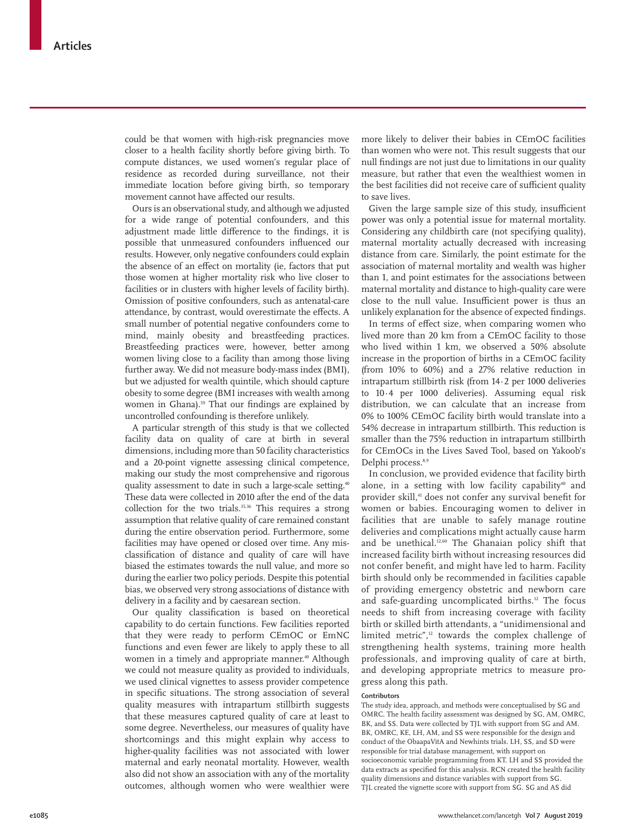could be that women with high-risk pregnancies move closer to a health facility shortly before giving birth. To compute distances, we used women's regular place of residence as recorded during surveillance, not their immediate location before giving birth, so temporary movement cannot have affected our results.

Ours is an observational study, and although we adjusted for a wide range of potential confounders, and this adjustment made little difference to the findings, it is possible that unmeasured confounders influenced our results. However, only negative confounders could explain the absence of an effect on mortality (ie, factors that put those women at higher mortality risk who live closer to facilities or in clusters with higher levels of facility birth). Omission of positive confounders, such as antenatal-care attendance, by contrast, would overestimate the effects. A small number of potential negative confounders come to mind, mainly obesity and breastfeeding practices. Breastfeeding practices were, however, better among women living close to a facility than among those living further away. We did not measure body-mass index (BMI), but we adjusted for wealth quintile, which should capture obesity to some degree (BMI increases with wealth among women in Ghana).<sup>59</sup> That our findings are explained by uncontrolled confounding is therefore unlikely.

A particular strength of this study is that we collected facility data on quality of care at birth in several dimensions, including more than 50 facility characteristics and a 20-point vignette assessing clinical competence, making our study the most comprehensive and rigorous quality assessment to date in such a large-scale setting.<sup>40</sup> These data were collected in 2010 after the end of the data collection for the two trials.<sup>35,36</sup> This requires a strong assumption that relative quality of care remained constant during the entire observation period. Furthermore, some facilities may have opened or closed over time. Any misclassification of distance and quality of care will have biased the estimates towards the null value, and more so during the earlier two policy periods. Despite this potential bias, we observed very strong associations of distance with delivery in a facility and by caesarean section.

Our quality classification is based on theoretical capability to do certain functions. Few facilities reported that they were ready to perform CEmOC or EmNC functions and even fewer are likely to apply these to all women in a timely and appropriate manner.<sup>40</sup> Although we could not measure quality as provided to individuals, we used clinical vignettes to assess provider competence in specific situations. The strong association of several quality measures with intrapartum stillbirth suggests that these measures captured quality of care at least to some degree. Nevertheless, our measures of quality have shortcomings and this might explain why access to higher-quality facilities was not associated with lower maternal and early neonatal mortality. However, wealth also did not show an association with any of the mortality outcomes, although women who were wealthier were more likely to deliver their babies in CEmOC facilities than women who were not. This result suggests that our null findings are not just due to limitations in our quality measure, but rather that even the wealthiest women in the best facilities did not receive care of sufficient quality to save lives.

Given the large sample size of this study, insufficient power was only a potential issue for maternal mortality. Considering any childbirth care (not specifying quality), maternal mortality actually decreased with increasing distance from care. Similarly, the point estimate for the association of maternal mortality and wealth was higher than 1, and point estimates for the associations between maternal mortality and distance to high-quality care were close to the null value. Insufficient power is thus an unlikely explanation for the absence of expected findings.

In terms of effect size, when comparing women who lived more than 20 km from a CEmOC facility to those who lived within 1 km, we observed a 50% absolute increase in the proportion of births in a CEmOC facility (from 10% to 60%) and a 27% relative reduction in intrapartum stillbirth risk (from 14·2 per 1000 deliveries to 10·4 per 1000 deliveries). Assuming equal risk distribution, we can calculate that an increase from 0% to 100% CEmOC facility birth would translate into a 54% decrease in intrapartum stillbirth. This reduction is smaller than the 75% reduction in intrapartum stillbirth for CEmOCs in the Lives Saved Tool, based on Yakoob's Delphi process.<sup>8,9</sup>

In conclusion, we provided evidence that facility birth alone, in a setting with low facility capability<sup>40</sup> and provider skill,<sup>41</sup> does not confer any survival benefit for women or babies. Encouraging women to deliver in facilities that are unable to safely manage routine deliveries and complications might actually cause harm and be unethical.12,60 The Ghanaian policy shift that increased facility birth without increasing resources did not confer benefit, and might have led to harm. Facility birth should only be recommended in facilities capable of providing emergency obstetric and newborn care and safe-guarding uncomplicated births.<sup>12</sup> The focus needs to shift from increasing coverage with facility birth or skilled birth attendants, a "unidimensional and limited metric",<sup>12</sup> towards the complex challenge of strengthening health systems, training more health professionals, and improving quality of care at birth, and developing appropriate metrics to measure progress along this path.

#### **Contributors**

The study idea, approach, and methods were conceptualised by SG and OMRC. The health facility assessment was designed by SG, AM, OMRC, BK, and SS. Data were collected by TJL with support from SG and AM. BK, OMRC, KE, LH, AM, and SS were responsible for the design and conduct of the ObaapaVitA and Newhints trials. LH, SS, and SD were responsible for trial database management, with support on socioeconomic variable programming from KT. LH and SS provided the data extracts as specified for this analysis. RCN created the health facility quality dimensions and distance variables with support from SG. TJL created the vignette score with support from SG. SG and AS did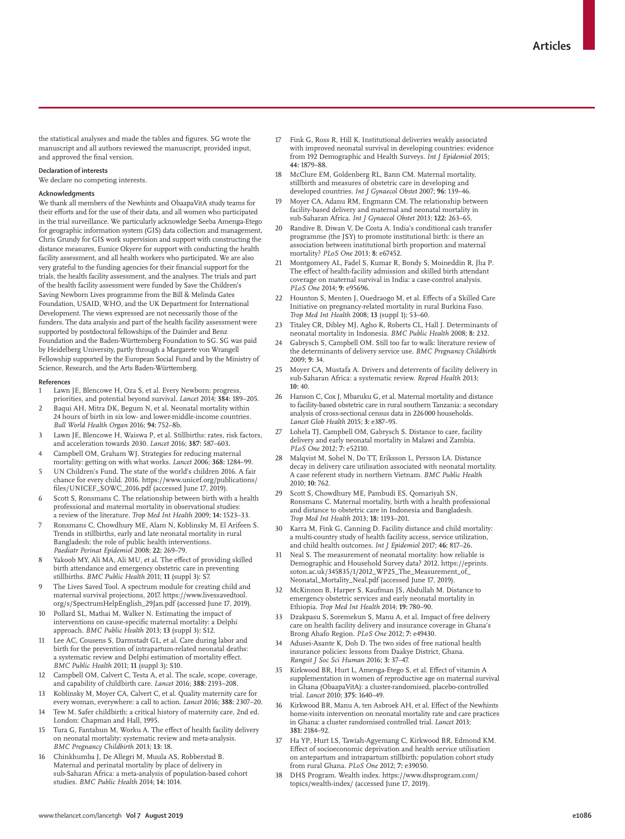the statistical analyses and made the tables and figures. SG wrote the manuscript and all authors reviewed the manuscript, provided input, and approved the final version.

#### **Declaration of interests**

We declare no competing interests.

#### **Acknowledgments**

We thank all members of the Newhints and ObaapaVitA study teams for their efforts and for the use of their data, and all women who participated in the trial surveillance. We particularly acknowledge Seeba Amenga-Etego for geographic information system (GIS) data collection and management, Chris Grundy for GIS work supervision and support with constructing the distance measures, Eunice Okyere for support with conducting the health facility assessment, and all health workers who participated. We are also very grateful to the funding agencies for their financial support for the trials, the health facility assessment, and the analyses. The trials and part of the health facility assessment were funded by Save the Children's Saving Newborn Lives programme from the Bill & Melinda Gates Foundation, USAID, WHO, and the UK Department for International Development. The views expressed are not necessarily those of the funders. The data analysis and part of the health facility assessment were supported by postdoctoral fellowships of the Daimler and Benz Foundation and the Baden-Württemberg Foundation to SG. SG was paid by Heidelberg University, partly through a Margarete von Wrangell Fellowship supported by the European Social Fund and by the Ministry of Science, Research, and the Arts Baden-Württemberg.

#### **References**

- Lawn JE, Blencowe H, Oza S, et al. Every Newborn: progress,
- priorities, and potential beyond survival. *Lancet* 2014; **384:** 189–205. Baqui AH, Mitra DK, Begum N, et al. Neonatal mortality within 24 hours of birth in six low- and lower-middle-income countries. *Bull World Health Organ* 2016; **94:** 752–8b.
- Lawn JE, Blencowe H, Waiswa P, et al. Stillbirths: rates, risk factors, and acceleration towards 2030. *Lancet* 2016; **387:** 587–603.
- Campbell OM, Graham WJ. Strategies for reducing maternal mortality: getting on with what works. *Lancet* 2006; **368:** 1284–99.
- 5 UN Children's Fund. The state of the world's children 2016. A fair chance for every child. 2016. https://www.unicef.org/publications/ files/UNICEF\_SOWC\_2016.pdf (accessed June 17, 2019).
- Scott S, Ronsmans C. The relationship between birth with a health professional and maternal mortality in observational studies: a review of the literature. *Trop Med Int Health* 2009; **14:** 1523–33.
- 7 Ronsmans C, Chowdhury ME, Alam N, Koblinsky M, El Arifeen S. Trends in stillbirths, early and late neonatal mortality in rural Bangladesh: the role of public health interventions. *Paediatr Perinat Epidemiol* 2008; **22:** 269–79.
- 8 Yakoob MY, Ali MA, Ali MU, et al. The effect of providing skilled birth attendance and emergency obstetric care in preventing stillbirths. *BMC Public Health* 2011; **11** (suppl 3)**:** S7.
- The Lives Saved Tool. A spectrum module for creating child and maternal survival projections, 2017. https://www.livessavedtool. org/s/SpectrumHelpEnglish\_29Jan.pdf (accessed June 17, 2019).
- 10 Pollard SL, Mathai M, Walker N. Estimating the impact of interventions on cause-specific maternal mortality: a Delphi approach. *BMC Public Health* 2013; **13** (suppl 3)**:** S12.
- 11 Lee AC, Cousens S, Darmstadt GL, et al. Care during labor and birth for the prevention of intrapartum-related neonatal deaths: a systematic review and Delphi estimation of mortality effect. *BMC Public Health* 2011; **11** (suppl 3)**:** S10.
- 12 Campbell OM, Calvert C, Testa A, et al. The scale, scope, coverage, and capability of childbirth care. *Lancet* 2016; **388:** 2193–208.
- 13 Koblinsky M, Moyer CA, Calvert C, et al. Quality maternity care for every woman, everywhere: a call to action. *Lancet* 2016; **388:** 2307–20.
- 14 Tew M. Safer childbirth: a critical history of maternity care, 2nd ed. London: Chapman and Hall, 1995.
- 15 Tura G, Fantahun M, Worku A. The effect of health facility delivery on neonatal mortality: systematic review and meta-analysis. *BMC Pregnancy Childbirth* 2013; **13:** 18.
- 16 Chinkhumba J, De Allegri M, Muula AS, Robberstad B. Maternal and perinatal mortality by place of delivery in sub-Saharan Africa: a meta-analysis of population-based cohort studies. *BMC Public Health* 2014; **14:** 1014.
- 17 Fink G, Ross R, Hill K. Institutional deliveries weakly associated with improved neonatal survival in developing countries: evidence from 192 Demographic and Health Surveys. *Int J Epidemiol* 2015; **44:** 1879–88.
- 18 McClure EM, Goldenberg RL, Bann CM. Maternal mortality, stillbirth and measures of obstetric care in developing and developed countries. *Int J Gynaecol Obstet* 2007; **96:** 139–46.
- Moyer CA, Adanu RM, Engmann CM. The relationship between facility-based delivery and maternal and neonatal mortality in sub-Saharan Africa. *Int J Gynaecol Obstet* 2013; **122:** 263–65.
- Randive B, Diwan V, De Costa A. India's conditional cash transfer programme (the JSY) to promote institutional birth: is there an association between institutional birth proportion and maternal mortality? *PLoS One* 2013; **8:** e67452.
- 21 Montgomery AL, Fadel S, Kumar R, Bondy S, Moineddin R, Jha P. The effect of health-facility admission and skilled birth attendant coverage on maternal survival in India: a case-control analysis. *PLoS One* 2014; **9:** e95696.
- 22 Hounton S, Menten J, Ouedraogo M, et al. Effects of a Skilled Care Initiative on pregnancy-related mortality in rural Burkina Faso. *Trop Med Int Health* 2008; **13** (suppl 1)**:** 53–60.
- 23 Titaley CR, Dibley MJ, Agho K, Roberts CL, Hall J. Determinants of neonatal mortality in Indonesia. *BMC Public Health* 2008; **8:** 232.
- 24 Gabrysch S, Campbell OM. Still too far to walk: literature review of the determinants of delivery service use. *BMC Pregnancy Childbirth* 2009; **9:** 34.
- 25 Moyer CA, Mustafa A. Drivers and deterrents of facility delivery in sub-Saharan Africa: a systematic review. *Reprod Health* 2013; **10:** 40.
- 26 Hanson C, Cox J, Mbaruku G, et al. Maternal mortality and distance to facility-based obstetric care in rural southern Tanzania: a secondary analysis of cross-sectional census data in 226000 households. *Lancet Glob Health* 2015; **3:** e387–95.
- Lohela TJ, Campbell OM, Gabrysch S. Distance to care, facility delivery and early neonatal mortality in Malawi and Zambia. *PLoS One* 2012; **7:** e52110.
- 28 Malqvist M, Sohel N, Do TT, Eriksson L, Persson LA. Distance decay in delivery care utilisation associated with neonatal mortality. A case referent study in northern Vietnam. *BMC Public Health* 2010; **10:** 762.
- 29 Scott S, Chowdhury ME, Pambudi ES, Qomariyah SN, Ronsmans C. Maternal mortality, birth with a health professional and distance to obstetric care in Indonesia and Bangladesh. *Trop Med Int Health* 2013; **18:** 1193–201.
- Karra M, Fink G, Canning D. Facility distance and child mortality: a multi-country study of health facility access, service utilization, and child health outcomes. *Int J Epidemiol* 2017; **46:** 817–26.
- Neal S. The measurement of neonatal mortality: how reliable is Demographic and Household Survey data? 2012. https://eprints. soton.ac.uk/345835/1/2012\_WP25\_The\_Measurement\_of\_ Neonatal\_Mortality\_Neal.pdf (accessed June 17, 2019).
- McKinnon B, Harper S, Kaufman JS, Abdullah M. Distance to emergency obstetric services and early neonatal mortality in Ethiopia. *Trop Med Int Health* 2014; **19:** 780–90.
- 33 Dzakpasu S, Soremekun S, Manu A, et al. Impact of free delivery care on health facility delivery and insurance coverage in Ghana's Brong Ahafo Region. *PLoS One* 2012; **7:** e49430.
- 34 Adusei-Asante K, Doh D. The two sides of free national health insurance policies: lessons from Daakye District, Ghana. *Rangsit J Soc Sci Human* 2016; **3:** 37–47.
- Kirkwood BR, Hurt L, Amenga-Etego S, et al. Effect of vitamin A supplementation in women of reproductive age on maternal survival in Ghana (ObaapaVitA): a cluster-randomised, placebo-controlled trial. *Lancet* 2010; **375:** 1640–49.
- 36 Kirkwood BR, Manu A, ten Asbroek AH, et al. Effect of the Newhints home-visits intervention on neonatal mortality rate and care practices in Ghana: a cluster randomised controlled trial. *Lancet* 2013; **381:** 2184–92.
- 37 Ha YP, Hurt LS, Tawiah-Agyemang C, Kirkwood BR, Edmond KM. Effect of socioeconomic deprivation and health service utilisation on antepartum and intrapartum stillbirth: population cohort study from rural Ghana. *PLoS One* 2012; **7:** e39050.
- 38 DHS Program. Wealth index. https://www.dhsprogram.com/ topics/wealth-index/ (accessed June 17, 2019).